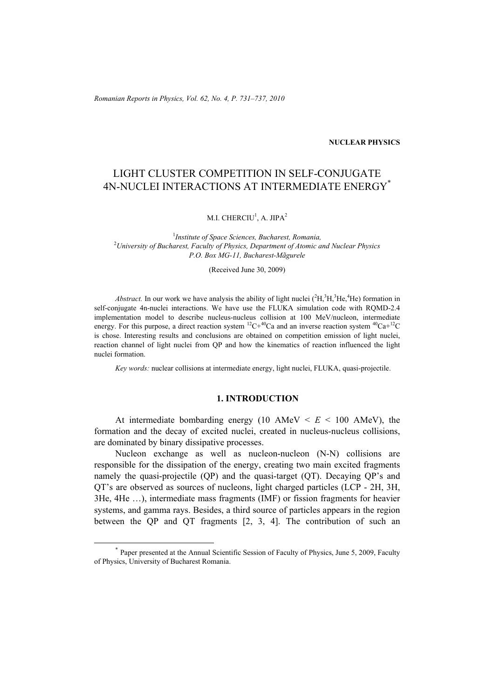*Romanian Reports in Physics, Vol. 62, No. 4, P. 731–737, 2010*

## **NUCLEAR PHYSICS**

# LIGHT CLUSTER COMPETITION IN SELF-CONJUGATE 4N-NUCLEI INTERACTIONS AT INTERMEDIATE ENERGY\*

M.I. CHERCIU $^1$ , A. JIPA $^2$ 

1 *Institute of Space Sciences, Bucharest, Romania,* 2 *University of Bucharest, Faculty of Physics, Department of Atomic and Nuclear Physics P.O. Box MG-11, Bucharest-Mãgurele* 

(Received June 30, 2009)

*Abstract.* In our work we have analysis the ability of light nuclei  $({}^2H, {}^3H, {}^3He, {}^4He)$  formation in self-conjugate 4n-nuclei interactions. We have use the FLUKA simulation code with RQMD-2.4 implementation model to describe nucleus-nucleus collision at 100 MeV/nucleon, intermediate energy. For this purpose, a direct reaction system  ${}^{12}C+{}^{40}Ca$  and an inverse reaction system  ${}^{40}Ca+{}^{12}C$ is chose. Interesting results and conclusions are obtained on competition emission of light nuclei, reaction channel of light nuclei from QP and how the kinematics of reaction influenced the light nuclei formation.

*Key words:* nuclear collisions at intermediate energy, light nuclei, FLUKA, quasi-projectile.

### **1. INTRODUCTION**

At intermediate bombarding energy (10 AMeV  $\lt E \lt 100$  AMeV), the formation and the decay of excited nuclei, created in nucleus-nucleus collisions, are dominated by binary dissipative processes.

Nucleon exchange as well as nucleon-nucleon (N-N) collisions are responsible for the dissipation of the energy, creating two main excited fragments namely the quasi-projectile (QP) and the quasi-target (QT). Decaying QP's and QT's are observed as sources of nucleons, light charged particles (LCP - 2H, 3H, 3He, 4He …), intermediate mass fragments (IMF) or fission fragments for heavier systems, and gamma rays. Besides, a third source of particles appears in the region between the QP and QT fragments [2, 3, 4]. The contribution of such an

 <sup>\*</sup> Paper presented at the Annual Scientific Session of Faculty of Physics, June 5, 2009, Faculty of Physics, University of Bucharest Romania.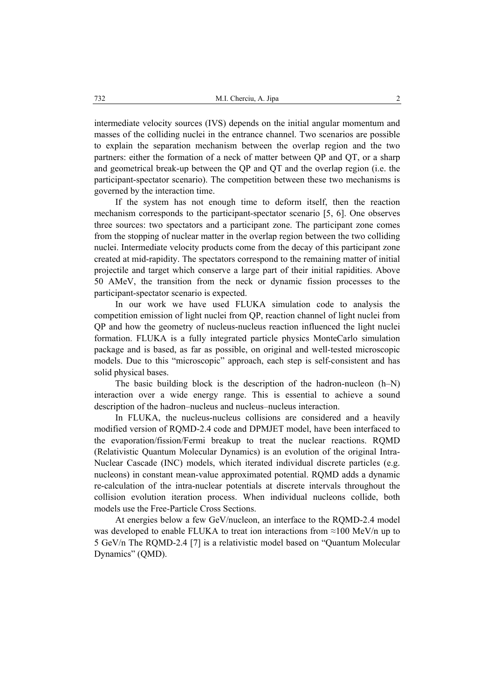intermediate velocity sources (IVS) depends on the initial angular momentum and masses of the colliding nuclei in the entrance channel. Two scenarios are possible to explain the separation mechanism between the overlap region and the two partners: either the formation of a neck of matter between QP and QT, or a sharp and geometrical break-up between the QP and QT and the overlap region (i.e. the participant-spectator scenario). The competition between these two mechanisms is governed by the interaction time.

If the system has not enough time to deform itself, then the reaction mechanism corresponds to the participant-spectator scenario [5, 6]. One observes three sources: two spectators and a participant zone. The participant zone comes from the stopping of nuclear matter in the overlap region between the two colliding nuclei. Intermediate velocity products come from the decay of this participant zone created at mid-rapidity. The spectators correspond to the remaining matter of initial projectile and target which conserve a large part of their initial rapidities. Above 50 AMeV, the transition from the neck or dynamic fission processes to the participant-spectator scenario is expected.

In our work we have used FLUKA simulation code to analysis the competition emission of light nuclei from QP, reaction channel of light nuclei from QP and how the geometry of nucleus-nucleus reaction influenced the light nuclei formation. FLUKA is a fully integrated particle physics MonteCarlo simulation package and is based, as far as possible, on original and well-tested microscopic models. Due to this "microscopic" approach, each step is self-consistent and has solid physical bases.

The basic building block is the description of the hadron-nucleon (h–N) interaction over a wide energy range. This is essential to achieve a sound description of the hadron–nucleus and nucleus–nucleus interaction.

In FLUKA, the nucleus-nucleus collisions are considered and a heavily modified version of RQMD-2.4 code and DPMJET model, have been interfaced to the evaporation/fission/Fermi breakup to treat the nuclear reactions. RQMD (Relativistic Quantum Molecular Dynamics) is an evolution of the original Intra-Nuclear Cascade (INC) models, which iterated individual discrete particles (e.g. nucleons) in constant mean-value approximated potential. RQMD adds a dynamic re-calculation of the intra-nuclear potentials at discrete intervals throughout the collision evolution iteration process. When individual nucleons collide, both models use the Free-Particle Cross Sections.

At energies below a few GeV/nucleon, an interface to the RQMD-2.4 model was developed to enable FLUKA to treat ion interactions from *≈*100 MeV/n up to 5 GeV/n The RQMD-2.4 [7] is a relativistic model based on "Quantum Molecular Dynamics" (QMD).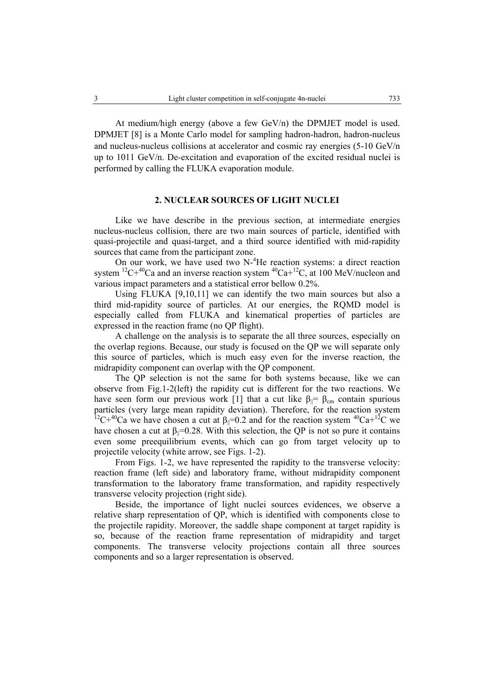At medium/high energy (above a few GeV/n) the DPMJET model is used. DPMJET [8] is a Monte Carlo model for sampling hadron-hadron, hadron-nucleus and nucleus-nucleus collisions at accelerator and cosmic ray energies (5-10 GeV/n up to 1011 GeV/n. De-excitation and evaporation of the excited residual nuclei is performed by calling the FLUKA evaporation module.

## **2. NUCLEAR SOURCES OF LIGHT NUCLEI**

Like we have describe in the previous section, at intermediate energies nucleus-nucleus collision, there are two main sources of particle, identified with quasi-projectile and quasi-target, and a third source identified with mid-rapidity sources that came from the participant zone.

On our work, we have used two N-<sup>4</sup>He reaction systems: a direct reaction system  ${}^{12}C+{}^{40}Ca$  and an inverse reaction system  ${}^{40}Ca+{}^{12}C$ , at 100 MeV/nucleon and various impact parameters and a statistical error bellow 0.2%.

Using FLUKA [9,10,11] we can identify the two main sources but also a third mid-rapidity source of particles. At our energies, the RQMD model is especially called from FLUKA and kinematical properties of particles are expressed in the reaction frame (no QP flight).

A challenge on the analysis is to separate the all three sources, especially on the overlap regions. Because, our study is focused on the QP we will separate only this source of particles, which is much easy even for the inverse reaction, the midrapidity component can overlap with the QP component.

The QP selection is not the same for both systems because, like we can observe from Fig.1-2(left) the rapidity cut is different for the two reactions. We have seen form our previous work [1] that a cut like  $\beta_{\parallel} = \beta_{\text{cm}}$  contain spurious particles (very large mean rapidity deviation). Therefore, for the reaction system <sup>12</sup>C+<sup>40</sup>Ca we have chosen a cut at  $\beta$ <sub>|</sub>=0.2 and for the reaction system <sup>40</sup>Ca+<sup>12</sup>C we have chosen a cut at  $\beta_{\parallel} = 0.28$ . With this selection, the QP is not so pure it contains even some preequilibrium events, which can go from target velocity up to projectile velocity (white arrow, see Figs. 1-2).

From Figs. 1-2, we have represented the rapidity to the transverse velocity: reaction frame (left side) and laboratory frame, without midrapidity component transformation to the laboratory frame transformation, and rapidity respectively transverse velocity projection (right side).

Beside, the importance of light nuclei sources evidences, we observe a relative sharp representation of QP, which is identified with components close to the projectile rapidity. Moreover, the saddle shape component at target rapidity is so, because of the reaction frame representation of midrapidity and target components. The transverse velocity projections contain all three sources components and so a larger representation is observed.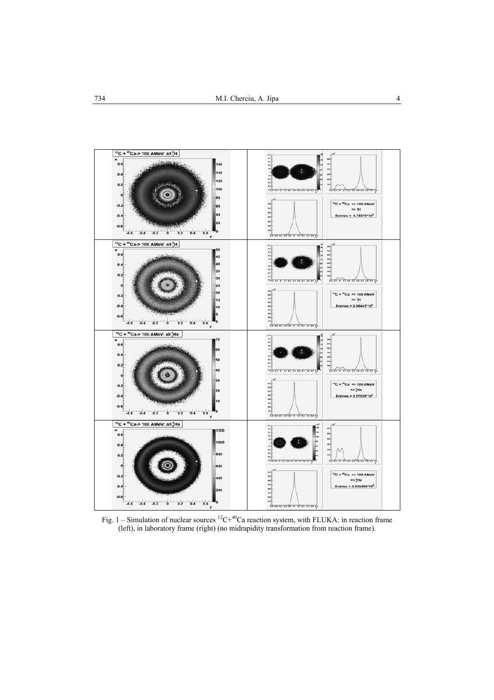

Fig. 1 – Simulation of nuclear sources  ${}^{12}C+{}^{40}Ca$  reaction system, with FLUKA: in reaction frame (left), in laboratory frame (right) (no midrapidity transformation from reaction frame).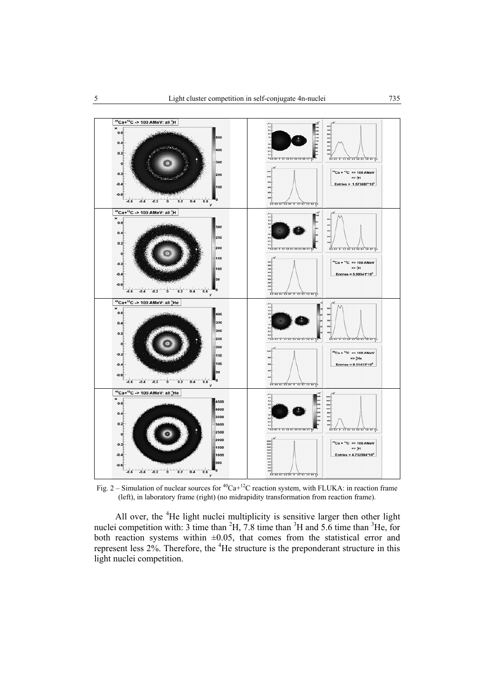

Fig. 2 – Simulation of nuclear sources for  ${}^{40}Ca+{}^{12}C$  reaction system, with FLUKA: in reaction frame (left), in laboratory frame (right) (no midrapidity transformation from reaction frame).

All over, the <sup>4</sup>He light nuclei multiplicity is sensitive larger then other light nuclei competition with: 3 time than  ${}^{2}H$ , 7.8 time than  ${}^{3}H$  and 5.6 time than  ${}^{3}He$ , for both reaction systems within  $\pm 0.05$ , that comes from the statistical error and represent less  $2\%$ . Therefore, the  ${}^{4}$ He structure is the preponderant structure in this light nuclei competition.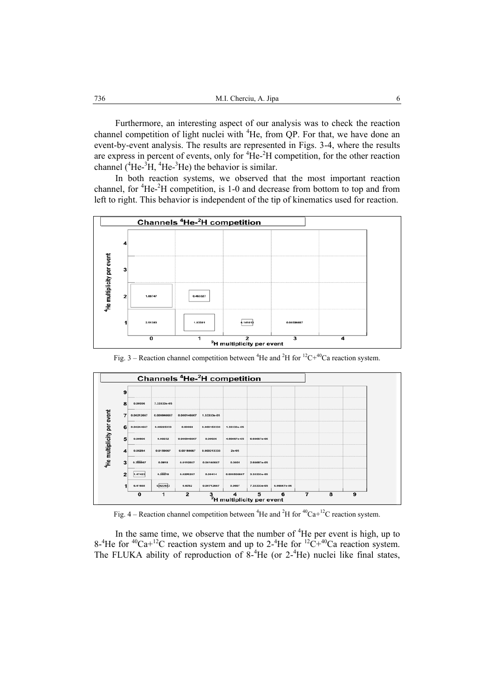Furthermore, an interesting aspect of our analysis was to check the reaction channel competition of light nuclei with <sup>4</sup>He, from QP. For that, we have done an event-by-event analysis. The results are represented in Figs. 3-4, where the results are express in percent of events, only for  ${}^{4}$ He ${}^{2}$ H competition, for the other reaction channel  $(^{4}He^{-3}H, ^{4}He^{-3}He)$  the behavior is similar.

In both reaction systems, we observed that the most important reaction channel, for <sup>4</sup>He-<sup>2</sup>H competition, is 1-0 and decrease from bottom to top and from left to right. This behavior is independent of the tip of kinematics used for reaction.



Fig. 3 – Reaction channel competition between <sup>4</sup>He and <sup>2</sup>H for <sup>12</sup>C+<sup>40</sup>Ca reaction system.



Fig. 4 – Reaction channel competition between <sup>4</sup>He and <sup>2</sup>H for <sup>40</sup>Ca+<sup>12</sup>C reaction system.

In the same time, we observe that the number of  ${}^{4}$ He per event is high, up to 8-<sup>4</sup>He for <sup>40</sup>Ca+<sup>12</sup>C reaction system and up to 2-<sup>4</sup>He for <sup>12</sup>C+<sup>40</sup>Ca reaction system. The FLUKA ability of reproduction of  $8\text{-}^4$ He (or 2<sup>-4</sup>He) nuclei like final states,